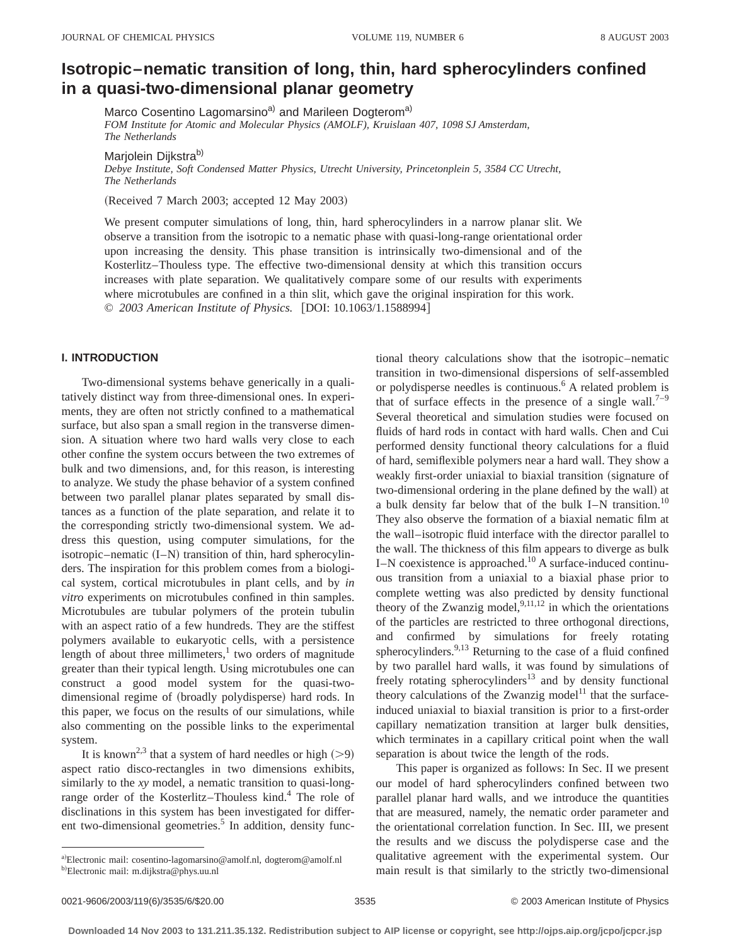# **Isotropic–nematic transition of long, thin, hard spherocylinders confined in a quasi-two-dimensional planar geometry**

Marco Cosentino Lagomarsino<sup>a)</sup> and Marileen Dogterom<sup>a)</sup> *FOM Institute for Atomic and Molecular Physics (AMOLF), Kruislaan 407, 1098 SJ Amsterdam, The Netherlands*

Marjolein Dijkstra<sup>b)</sup>

*Debye Institute, Soft Condensed Matter Physics, Utrecht University, Princetonplein 5, 3584 CC Utrecht, The Netherlands*

 $(Received 7 March 2003; accepted 12 May 2003)$ 

We present computer simulations of long, thin, hard spherocylinders in a narrow planar slit. We observe a transition from the isotropic to a nematic phase with quasi-long-range orientational order upon increasing the density. This phase transition is intrinsically two-dimensional and of the Kosterlitz–Thouless type. The effective two-dimensional density at which this transition occurs increases with plate separation. We qualitatively compare some of our results with experiments where microtubules are confined in a thin slit, which gave the original inspiration for this work. © 2003 American Institute of Physics. [DOI: 10.1063/1.1588994]

## **I. INTRODUCTION**

Two-dimensional systems behave generically in a qualitatively distinct way from three-dimensional ones. In experiments, they are often not strictly confined to a mathematical surface, but also span a small region in the transverse dimension. A situation where two hard walls very close to each other confine the system occurs between the two extremes of bulk and two dimensions, and, for this reason, is interesting to analyze. We study the phase behavior of a system confined between two parallel planar plates separated by small distances as a function of the plate separation, and relate it to the corresponding strictly two-dimensional system. We address this question, using computer simulations, for the isotropic–nematic  $(I-N)$  transition of thin, hard spherocylinders. The inspiration for this problem comes from a biological system, cortical microtubules in plant cells, and by *in vitro* experiments on microtubules confined in thin samples. Microtubules are tubular polymers of the protein tubulin with an aspect ratio of a few hundreds. They are the stiffest polymers available to eukaryotic cells, with a persistence length of about three millimeters, $\frac{1}{1}$  two orders of magnitude greater than their typical length. Using microtubules one can construct a good model system for the quasi-twodimensional regime of (broadly polydisperse) hard rods. In this paper, we focus on the results of our simulations, while also commenting on the possible links to the experimental system.

It is known<sup>2,3</sup> that a system of hard needles or high  $(>9)$ aspect ratio disco-rectangles in two dimensions exhibits, similarly to the *xy* model, a nematic transition to quasi-longrange order of the Kosterlitz–Thouless kind.<sup>4</sup> The role of disclinations in this system has been investigated for different two-dimensional geometries.<sup>5</sup> In addition, density func-

tional theory calculations show that the isotropic–nematic transition in two-dimensional dispersions of self-assembled or polydisperse needles is continuous.<sup>6</sup> A related problem is that of surface effects in the presence of a single wall.<sup>7-9</sup> Several theoretical and simulation studies were focused on fluids of hard rods in contact with hard walls. Chen and Cui performed density functional theory calculations for a fluid of hard, semiflexible polymers near a hard wall. They show a weakly first-order uniaxial to biaxial transition (signature of two-dimensional ordering in the plane defined by the wall) at a bulk density far below that of the bulk I–N transition.<sup>10</sup> They also observe the formation of a biaxial nematic film at the wall–isotropic fluid interface with the director parallel to the wall. The thickness of this film appears to diverge as bulk I–N coexistence is approached.<sup>10</sup> A surface-induced continuous transition from a uniaxial to a biaxial phase prior to complete wetting was also predicted by density functional theory of the Zwanzig model,  $9,11,12$  in which the orientations of the particles are restricted to three orthogonal directions, and confirmed by simulations for freely rotating spherocylinders.<sup>9,13</sup> Returning to the case of a fluid confined by two parallel hard walls, it was found by simulations of freely rotating spherocylinders<sup>13</sup> and by density functional theory calculations of the Zwanzig model<sup>11</sup> that the surfaceinduced uniaxial to biaxial transition is prior to a first-order capillary nematization transition at larger bulk densities, which terminates in a capillary critical point when the wall separation is about twice the length of the rods.

This paper is organized as follows: In Sec. II we present our model of hard spherocylinders confined between two parallel planar hard walls, and we introduce the quantities that are measured, namely, the nematic order parameter and the orientational correlation function. In Sec. III, we present the results and we discuss the polydisperse case and the qualitative agreement with the experimental system. Our main result is that similarly to the strictly two-dimensional

a)Electronic mail: cosentino-lagomarsino@amolf.nl, dogterom@amolf.nl <sup>b)</sup>Electronic mail: m.dijkstra@phys.uu.nl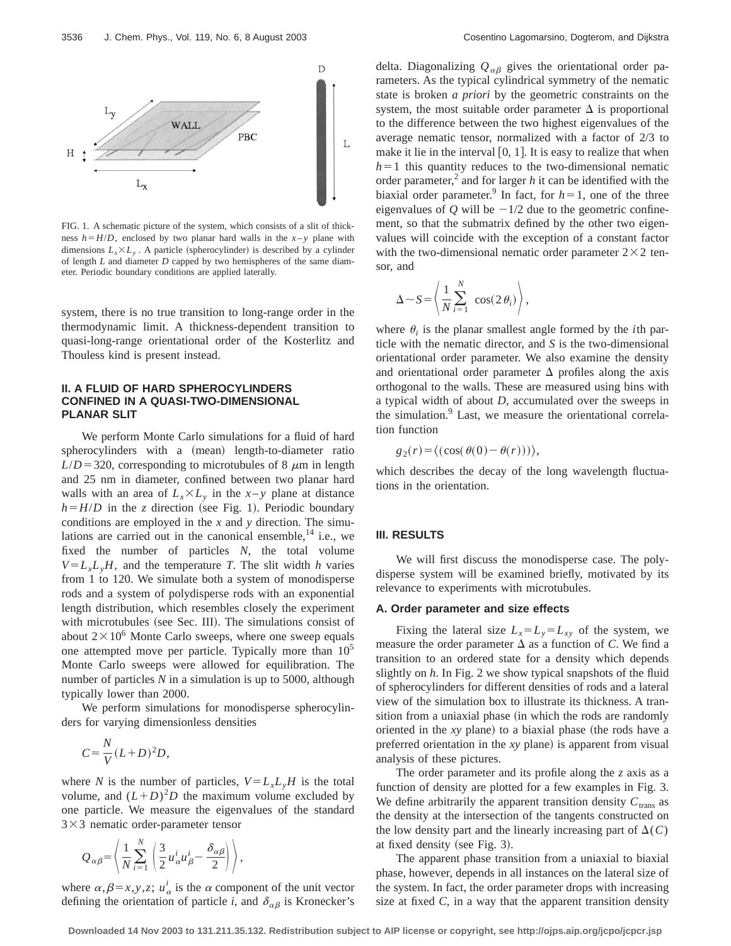

FIG. 1. A schematic picture of the system, which consists of a slit of thickness  $h = H/D$ , enclosed by two planar hard walls in the  $x - y$  plane with dimensions  $L_x \times L_y$ . A particle (spherocylinder) is described by a cylinder of length *L* and diameter *D* capped by two hemispheres of the same diameter. Periodic boundary conditions are applied laterally.

system, there is no true transition to long-range order in the thermodynamic limit. A thickness-dependent transition to quasi-long-range orientational order of the Kosterlitz and Thouless kind is present instead.

# **II. A FLUID OF HARD SPHEROCYLINDERS CONFINED IN A QUASI-TWO-DIMENSIONAL PLANAR SLIT**

We perform Monte Carlo simulations for a fluid of hard spherocylinders with a (mean) length-to-diameter ratio  $L/D = 320$ , corresponding to microtubules of 8  $\mu$ m in length and 25 nm in diameter, confined between two planar hard walls with an area of  $L_x \times L_y$  in the *x*-*y* plane at distance  $h = H/D$  in the *z* direction (see Fig. 1). Periodic boundary conditions are employed in the *x* and *y* direction. The simulations are carried out in the canonical ensemble,  $^{14}$  i.e., we fixed the number of particles *N*, the total volume  $V = L_xL_yH$ , and the temperature *T*. The slit width *h* varies from 1 to 120. We simulate both a system of monodisperse rods and a system of polydisperse rods with an exponential length distribution, which resembles closely the experiment with microtubules (see Sec. III). The simulations consist of about  $2 \times 10^6$  Monte Carlo sweeps, where one sweep equals one attempted move per particle. Typically more than  $10<sup>5</sup>$ Monte Carlo sweeps were allowed for equilibration. The number of particles *N* in a simulation is up to 5000, although typically lower than 2000.

We perform simulations for monodisperse spherocylinders for varying dimensionless densities

$$
C = \frac{N}{V}(L+D)^2 D,
$$

where *N* is the number of particles,  $V = L_xL_yH$  is the total volume, and  $(L+D)^2D$  the maximum volume excluded by one particle. We measure the eigenvalues of the standard  $3\times3$  nematic order-parameter tensor

$$
Q_{\alpha\beta} = \left\langle \frac{1}{N} \sum_{i=1}^{N} \left( \frac{3}{2} u_{\alpha}^{i} u_{\beta}^{i} - \frac{\delta_{\alpha\beta}}{2} \right) \right\rangle,
$$

where  $\alpha, \beta = x, y, z$ ;  $u^i_{\alpha}$  is the  $\alpha$  component of the unit vector defining the orientation of particle *i*, and  $\delta_{\alpha\beta}$  is Kronecker's delta. Diagonalizing  $Q_{\alpha\beta}$  gives the orientational order parameters. As the typical cylindrical symmetry of the nematic state is broken *a priori* by the geometric constraints on the system, the most suitable order parameter  $\Delta$  is proportional to the difference between the two highest eigenvalues of the average nematic tensor, normalized with a factor of 2/3 to make it lie in the interval  $[0, 1]$ . It is easy to realize that when  $h=1$  this quantity reduces to the two-dimensional nematic order parameter,<sup>2</sup> and for larger  $h$  it can be identified with the biaxial order parameter.<sup>9</sup> In fact, for  $h=1$ , one of the three eigenvalues of  $Q$  will be  $-1/2$  due to the geometric confinement, so that the submatrix defined by the other two eigenvalues will coincide with the exception of a constant factor with the two-dimensional nematic order parameter  $2\times2$  tensor, and

$$
\Delta \sim S = \left\langle \frac{1}{N} \sum_{i=1}^{N} \cos(2 \theta_i) \right\rangle,
$$

where  $\theta_i$  is the planar smallest angle formed by the *i*th particle with the nematic director, and *S* is the two-dimensional orientational order parameter. We also examine the density and orientational order parameter  $\Delta$  profiles along the axis orthogonal to the walls. These are measured using bins with a typical width of about *D*, accumulated over the sweeps in the simulation.<sup>9</sup> Last, we measure the orientational correlation function

$$
g_2(r) = \langle (\cos(\theta(0) - \theta(r)))) \rangle,
$$

which describes the decay of the long wavelength fluctuations in the orientation.

#### **III. RESULTS**

We will first discuss the monodisperse case. The polydisperse system will be examined briefly, motivated by its relevance to experiments with microtubules.

#### **A. Order parameter and size effects**

Fixing the lateral size  $L_x = L_y = L_{xy}$  of the system, we measure the order parameter  $\Delta$  as a function of *C*. We find a transition to an ordered state for a density which depends slightly on *h*. In Fig. 2 we show typical snapshots of the fluid of spherocylinders for different densities of rods and a lateral view of the simulation box to illustrate its thickness. A transition from a uniaxial phase (in which the rods are randomly oriented in the *xy* plane) to a biaxial phase (the rods have a preferred orientation in the *xy* plane) is apparent from visual analysis of these pictures.

The order parameter and its profile along the *z* axis as a function of density are plotted for a few examples in Fig. 3. We define arbitrarily the apparent transition density  $C_{\text{trans}}$  as the density at the intersection of the tangents constructed on the low density part and the linearly increasing part of  $\Delta(C)$ at fixed density (see Fig. 3).

The apparent phase transition from a uniaxial to biaxial phase, however, depends in all instances on the lateral size of the system. In fact, the order parameter drops with increasing size at fixed *C*, in a way that the apparent transition density

**Downloaded 14 Nov 2003 to 131.211.35.132. Redistribution subject to AIP license or copyright, see http://ojps.aip.org/jcpo/jcpcr.jsp**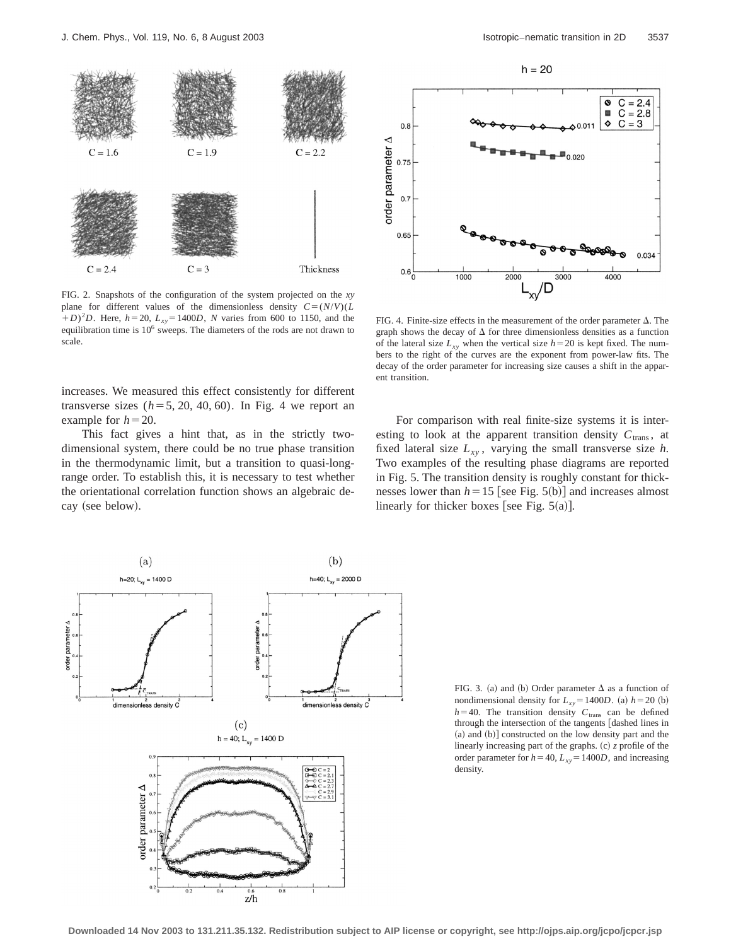

FIG. 2. Snapshots of the configuration of the system projected on the *xy* plane for different values of the dimensionless density  $C = (N/V)(L)$  $(D+D)^2D$ . Here,  $h=20$ ,  $L_{xy}=1400D$ , *N* varies from 600 to 1150, and the equilibration time is  $10<sup>6</sup>$  sweeps. The diameters of the rods are not drawn to scale.

increases. We measured this effect consistently for different transverse sizes  $(h=5, 20, 40, 60)$ . In Fig. 4 we report an example for  $h=20$ .

This fact gives a hint that, as in the strictly twodimensional system, there could be no true phase transition in the thermodynamic limit, but a transition to quasi-longrange order. To establish this, it is necessary to test whether the orientational correlation function shows an algebraic decay (see below).



FIG. 4. Finite-size effects in the measurement of the order parameter  $\Delta$ . The graph shows the decay of  $\Delta$  for three dimensionless densities as a function of the lateral size  $L_{xy}$  when the vertical size  $h=20$  is kept fixed. The numbers to the right of the curves are the exponent from power-law fits. The decay of the order parameter for increasing size causes a shift in the apparent transition.

For comparison with real finite-size systems it is interesting to look at the apparent transition density  $C_{trans}$ , at fixed lateral size  $L_{xy}$ , varying the small transverse size  $h$ . Two examples of the resulting phase diagrams are reported in Fig. 5. The transition density is roughly constant for thicknesses lower than  $h=15$  [see Fig. 5(b)] and increases almost linearly for thicker boxes [see Fig.  $5(a)$ ].



FIG. 3. (a) and (b) Order parameter  $\Delta$  as a function of nondimensional density for  $L_{xy} = 1400D$ . (a)  $h = 20$  (b)  $h=40$ . The transition density  $C_{trans}$  can be defined through the intersection of the tangents [dashed lines in  $(a)$  and  $(b)$ ] constructed on the low density part and the linearly increasing part of the graphs.  $(c)$  *z* profile of the order parameter for  $h$  = 40,  $L_{xy}$  = 1400*D*, and increasing density.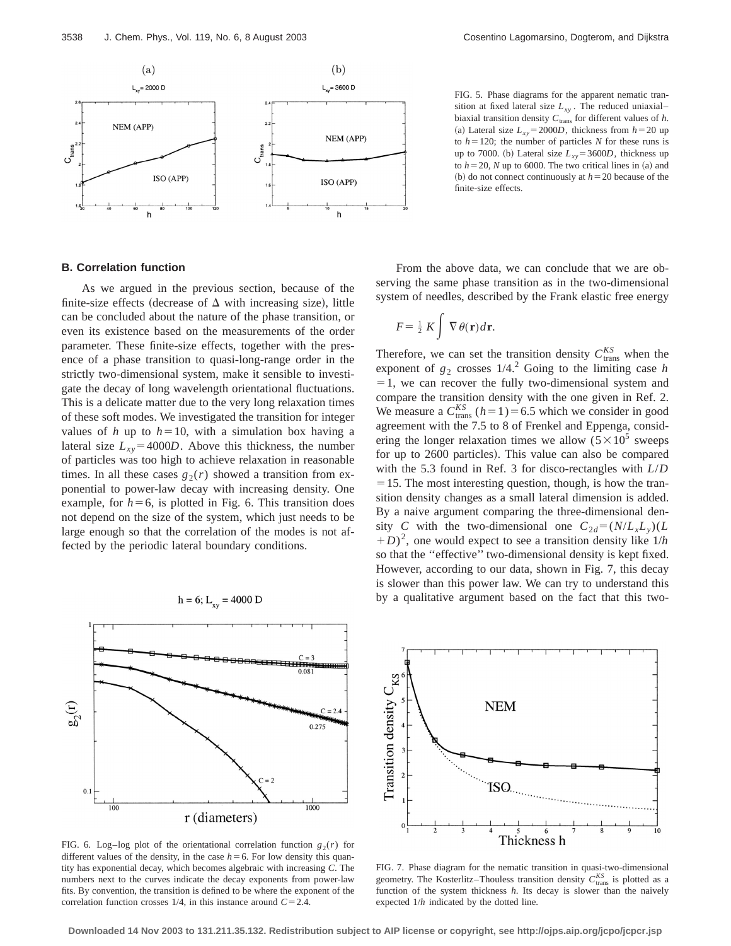

### **B. Correlation function**

As we argued in the previous section, because of the finite-size effects (decrease of  $\Delta$  with increasing size), little can be concluded about the nature of the phase transition, or even its existence based on the measurements of the order parameter. These finite-size effects, together with the presence of a phase transition to quasi-long-range order in the strictly two-dimensional system, make it sensible to investigate the decay of long wavelength orientational fluctuations. This is a delicate matter due to the very long relaxation times of these soft modes. We investigated the transition for integer values of *h* up to  $h=10$ , with a simulation box having a lateral size  $L_{xy}$ =4000*D*. Above this thickness, the number of particles was too high to achieve relaxation in reasonable times. In all these cases  $g_2(r)$  showed a transition from exponential to power-law decay with increasing density. One example, for  $h=6$ , is plotted in Fig. 6. This transition does not depend on the size of the system, which just needs to be large enough so that the correlation of the modes is not affected by the periodic lateral boundary conditions.



 $h = 6$ ; L<sub>xy</sub> = 4000 D

FIG. 6. Log-log plot of the orientational correlation function  $g_2(r)$  for different values of the density, in the case  $h=6$ . For low density this quantity has exponential decay, which becomes algebraic with increasing *C*. The numbers next to the curves indicate the decay exponents from power-law fits. By convention, the transition is defined to be where the exponent of the correlation function crosses  $1/4$ , in this instance around  $C=2.4$ .

FIG. 5. Phase diagrams for the apparent nematic transition at fixed lateral size  $L_{xy}$ . The reduced uniaxial– biaxial transition density  $C_{trans}$  for different values of  $h$ . (a) Lateral size  $L_{xy} = 2000D$ , thickness from  $h = 20$  up to  $h=120$ ; the number of particles *N* for these runs is up to 7000. (b) Lateral size  $L_{xy} = 3600D$ , thickness up to  $h = 20$ , *N* up to 6000. The two critical lines in (a) and (b) do not connect continuously at  $h=20$  because of the finite-size effects.

From the above data, we can conclude that we are observing the same phase transition as in the two-dimensional system of needles, described by the Frank elastic free energy

$$
F = \frac{1}{2} K \int \nabla \theta(\mathbf{r}) d\mathbf{r}.
$$

Therefore, we can set the transition density  $C_{\text{trans}}^{KS}$  when the exponent of  $g_2$  crosses  $1/4$ <sup>2</sup> Going to the limiting case *h*  $=$  1, we can recover the fully two-dimensional system and compare the transition density with the one given in Ref. 2. We measure a  $C_{\text{trans}}^{KS}$   $(h=1) = 6.5$  which we consider in good agreement with the 7.5 to 8 of Frenkel and Eppenga, considering the longer relaxation times we allow  $(5 \times 10^5$  sweeps for up to 2600 particles). This value can also be compared with the 5.3 found in Ref. 3 for disco-rectangles with *L*/*D*  $=$  15. The most interesting question, though, is how the transition density changes as a small lateral dimension is added. By a naive argument comparing the three-dimensional density *C* with the two-dimensional one  $C_{2d} = (N/L_xL_y)(L_y)$  $(D+D)^2$ , one would expect to see a transition density like  $1/h$ so that the ''effective'' two-dimensional density is kept fixed. However, according to our data, shown in Fig. 7, this decay is slower than this power law. We can try to understand this by a qualitative argument based on the fact that this two-



FIG. 7. Phase diagram for the nematic transition in quasi-two-dimensional geometry. The Kosterlitz–Thouless transition density  $C_{\text{trans}}^{KS}$  is plotted as a function of the system thickness *h*. Its decay is slower than the naively expected 1/*h* indicated by the dotted line.

**Downloaded 14 Nov 2003 to 131.211.35.132. Redistribution subject to AIP license or copyright, see http://ojps.aip.org/jcpo/jcpcr.jsp**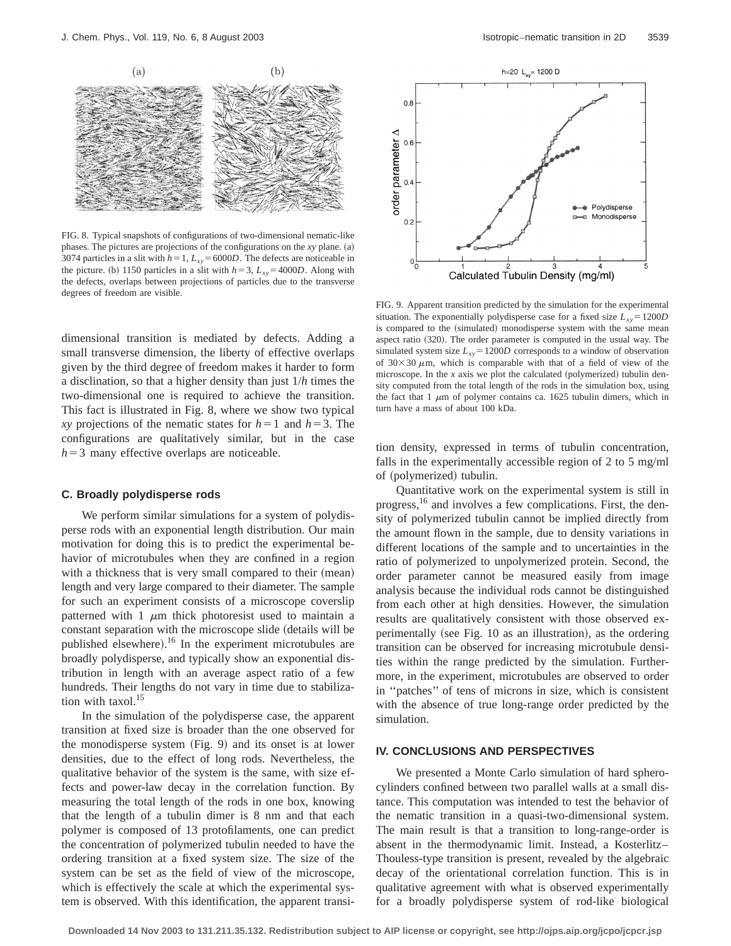

FIG. 8. Typical snapshots of configurations of two-dimensional nematic-like phases. The pictures are projections of the configurations on the  $xy$  plane.  $(a)$ 3074 particles in a slit with  $h=1$ ,  $L_{xy}=6000D$ . The defects are noticeable in the picture. (b) 1150 particles in a slit with  $h=3$ ,  $L_{xy}=4000D$ . Along with the defects, overlaps between projections of particles due to the transverse degrees of freedom are visible.

dimensional transition is mediated by defects. Adding a small transverse dimension, the liberty of effective overlaps given by the third degree of freedom makes it harder to form a disclination, so that a higher density than just 1/*h* times the two-dimensional one is required to achieve the transition. This fact is illustrated in Fig. 8, where we show two typical *xy* projections of the nematic states for  $h=1$  and  $h=3$ . The configurations are qualitatively similar, but in the case  $h=3$  many effective overlaps are noticeable.

#### **C. Broadly polydisperse rods**

We perform similar simulations for a system of polydisperse rods with an exponential length distribution. Our main motivation for doing this is to predict the experimental behavior of microtubules when they are confined in a region with a thickness that is very small compared to their (mean) length and very large compared to their diameter. The sample for such an experiment consists of a microscope coverslip patterned with  $1 \mu m$  thick photoresist used to maintain a constant separation with the microscope slide (details will be published elsewhere).<sup>16</sup> In the experiment microtubules are broadly polydisperse, and typically show an exponential distribution in length with an average aspect ratio of a few hundreds. Their lengths do not vary in time due to stabilization with taxol. $15$ 

In the simulation of the polydisperse case, the apparent transition at fixed size is broader than the one observed for the monodisperse system  $(Fig. 9)$  and its onset is at lower densities, due to the effect of long rods. Nevertheless, the qualitative behavior of the system is the same, with size effects and power-law decay in the correlation function. By measuring the total length of the rods in one box, knowing that the length of a tubulin dimer is 8 nm and that each polymer is composed of 13 protofilaments, one can predict the concentration of polymerized tubulin needed to have the ordering transition at a fixed system size. The size of the system can be set as the field of view of the microscope, which is effectively the scale at which the experimental system is observed. With this identification, the apparent transi-



FIG. 9. Apparent transition predicted by the simulation for the experimental situation. The exponentially polydisperse case for a fixed size  $L_{xy} = 1200D$ is compared to the (simulated) monodisperse system with the same mean aspect ratio (320). The order parameter is computed in the usual way. The simulated system size  $L_{xy}$ =1200*D* corresponds to a window of observation of  $30\times30 \mu$ m, which is comparable with that of a field of view of the microscope. In the  $x$  axis we plot the calculated (polymerized) tubulin density computed from the total length of the rods in the simulation box, using the fact that 1  $\mu$ m of polymer contains ca. 1625 tubulin dimers, which in turn have a mass of about 100 kDa.

tion density, expressed in terms of tubulin concentration, falls in the experimentally accessible region of 2 to 5 mg/ml of (polymerized) tubulin.

Quantitative work on the experimental system is still in progress,<sup>16</sup> and involves a few complications. First, the density of polymerized tubulin cannot be implied directly from the amount flown in the sample, due to density variations in different locations of the sample and to uncertainties in the ratio of polymerized to unpolymerized protein. Second, the order parameter cannot be measured easily from image analysis because the individual rods cannot be distinguished from each other at high densities. However, the simulation results are qualitatively consistent with those observed experimentally (see Fig. 10 as an illustration), as the ordering transition can be observed for increasing microtubule densities within the range predicted by the simulation. Furthermore, in the experiment, microtubules are observed to order in ''patches'' of tens of microns in size, which is consistent with the absence of true long-range order predicted by the simulation.

### **IV. CONCLUSIONS AND PERSPECTIVES**

We presented a Monte Carlo simulation of hard spherocylinders confined between two parallel walls at a small distance. This computation was intended to test the behavior of the nematic transition in a quasi-two-dimensional system. The main result is that a transition to long-range-order is absent in the thermodynamic limit. Instead, a Kosterlitz– Thouless-type transition is present, revealed by the algebraic decay of the orientational correlation function. This is in qualitative agreement with what is observed experimentally for a broadly polydisperse system of rod-like biological